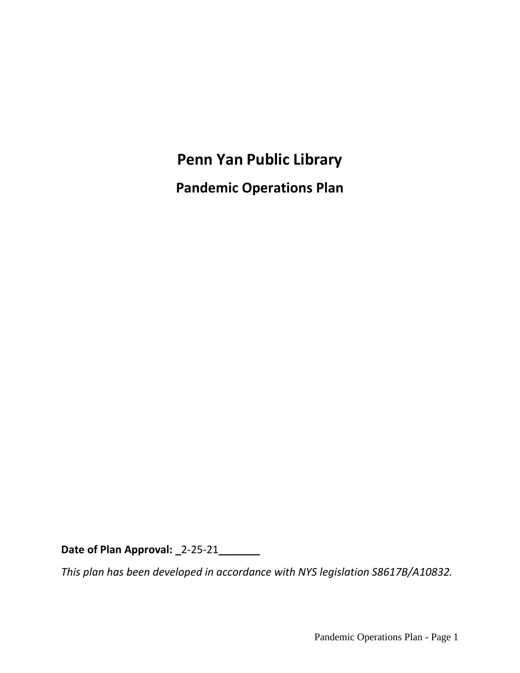# **Penn Yan Public Library**

**Pandemic Operations Plan**

**Date of Plan Approval: \_**2-25-21**\_\_\_\_\_\_\_**

*This plan has been developed in accordance with NYS legislation S8617B/A10832.*

Pandemic Operations Plan - Page 1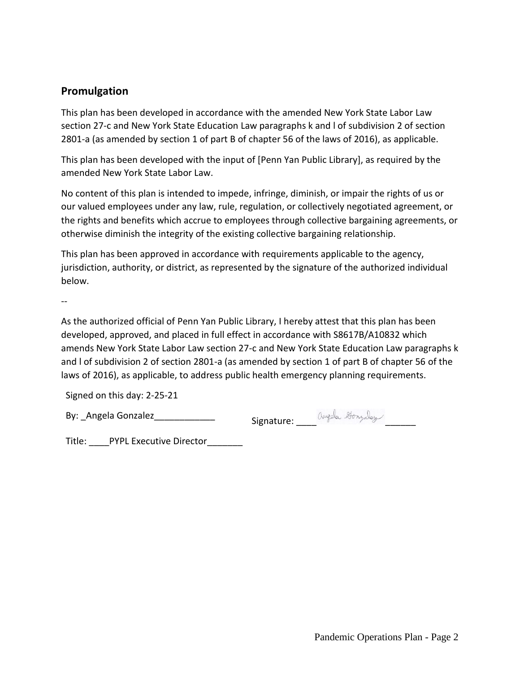# **Promulgation**

This plan has been developed in accordance with the amended New York State Labor Law section 27-c and New York State Education Law paragraphs k and l of subdivision 2 of section 2801-a (as amended by section 1 of part B of chapter 56 of the laws of 2016), as applicable.

This plan has been developed with the input of [Penn Yan Public Library], as required by the amended New York State Labor Law.

No content of this plan is intended to impede, infringe, diminish, or impair the rights of us or our valued employees under any law, rule, regulation, or collectively negotiated agreement, or the rights and benefits which accrue to employees through collective bargaining agreements, or otherwise diminish the integrity of the existing collective bargaining relationship.

This plan has been approved in accordance with requirements applicable to the agency, jurisdiction, authority, or district, as represented by the signature of the authorized individual below.

--

As the authorized official of Penn Yan Public Library, I hereby attest that this plan has been developed, approved, and placed in full effect in accordance with S8617B/A10832 which amends New York State Labor Law section 27-c and New York State Education Law paragraphs k and l of subdivision 2 of section 2801-a (as amended by section 1 of part B of chapter 56 of the laws of 2016), as applicable, to address public health emergency planning requirements.

Signed on this day: 2-25-21

By: \_Angela Gonzalez\_\_\_\_\_\_\_\_\_\_\_\_\_\_\_\_\_\_\_\_\_\_\_\_Signature: Angela Hompday

Title: PYPL Executive Director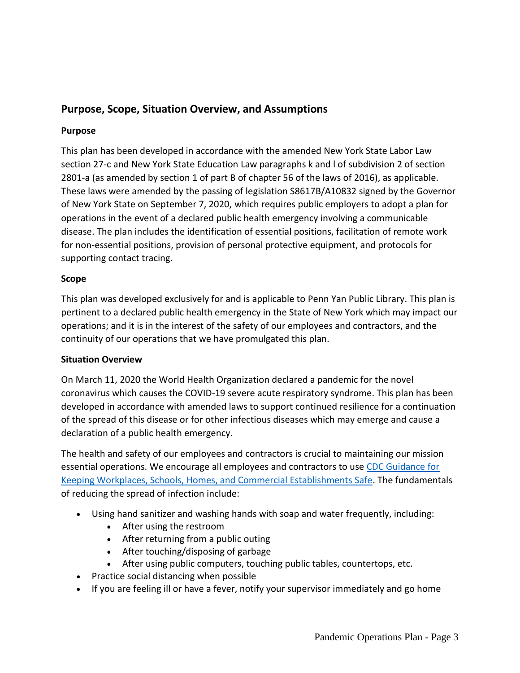# **Purpose, Scope, Situation Overview, and Assumptions**

#### **Purpose**

This plan has been developed in accordance with the amended New York State Labor Law section 27-c and New York State Education Law paragraphs k and l of subdivision 2 of section 2801-a (as amended by section 1 of part B of chapter 56 of the laws of 2016), as applicable. These laws were amended by the passing of legislation S8617B/A10832 signed by the Governor of New York State on September 7, 2020, which requires public employers to adopt a plan for operations in the event of a declared public health emergency involving a communicable disease. The plan includes the identification of essential positions, facilitation of remote work for non-essential positions, provision of personal protective equipment, and protocols for supporting contact tracing.

#### **Scope**

This plan was developed exclusively for and is applicable to Penn Yan Public Library. This plan is pertinent to a declared public health emergency in the State of New York which may impact our operations; and it is in the interest of the safety of our employees and contractors, and the continuity of our operations that we have promulgated this plan.

#### **Situation Overview**

On March 11, 2020 the World Health Organization declared a pandemic for the novel coronavirus which causes the COVID-19 severe acute respiratory syndrome. This plan has been developed in accordance with amended laws to support continued resilience for a continuation of the spread of this disease or for other infectious diseases which may emerge and cause a declaration of a public health emergency.

The health and safety of our employees and contractors is crucial to maintaining our mission essential operations. We encourage all employees and contractors to use [CDC Guidance for](https://www.cdc.gov/coronavirus/2019-ncov/downloads/workplace-school-and-home-guidance.pdf)  [Keeping Workplaces, Schools, Homes, and Commercial Establishments Safe.](https://www.cdc.gov/coronavirus/2019-ncov/downloads/workplace-school-and-home-guidance.pdf) The fundamentals of reducing the spread of infection include:

- Using hand sanitizer and washing hands with soap and water frequently, including:
	- After using the restroom
	- After returning from a public outing
	- After touching/disposing of garbage
	- After using public computers, touching public tables, countertops, etc.
- Practice social distancing when possible
- If you are feeling ill or have a fever, notify your supervisor immediately and go home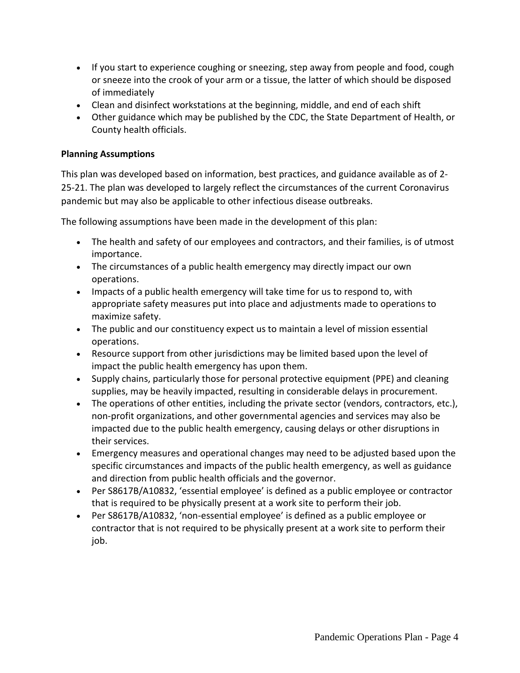- If you start to experience coughing or sneezing, step away from people and food, cough or sneeze into the crook of your arm or a tissue, the latter of which should be disposed of immediately
- Clean and disinfect workstations at the beginning, middle, and end of each shift
- Other guidance which may be published by the CDC, the State Department of Health, or County health officials.

### **Planning Assumptions**

This plan was developed based on information, best practices, and guidance available as of 2- 25-21. The plan was developed to largely reflect the circumstances of the current Coronavirus pandemic but may also be applicable to other infectious disease outbreaks.

The following assumptions have been made in the development of this plan:

- The health and safety of our employees and contractors, and their families, is of utmost importance.
- The circumstances of a public health emergency may directly impact our own operations.
- Impacts of a public health emergency will take time for us to respond to, with appropriate safety measures put into place and adjustments made to operations to maximize safety.
- The public and our constituency expect us to maintain a level of mission essential operations.
- Resource support from other jurisdictions may be limited based upon the level of impact the public health emergency has upon them.
- Supply chains, particularly those for personal protective equipment (PPE) and cleaning supplies, may be heavily impacted, resulting in considerable delays in procurement.
- The operations of other entities, including the private sector (vendors, contractors, etc.), non-profit organizations, and other governmental agencies and services may also be impacted due to the public health emergency, causing delays or other disruptions in their services.
- Emergency measures and operational changes may need to be adjusted based upon the specific circumstances and impacts of the public health emergency, as well as guidance and direction from public health officials and the governor.
- Per S8617B/A10832, 'essential employee' is defined as a public employee or contractor that is required to be physically present at a work site to perform their job.
- Per S8617B/A10832, 'non-essential employee' is defined as a public employee or contractor that is not required to be physically present at a work site to perform their job.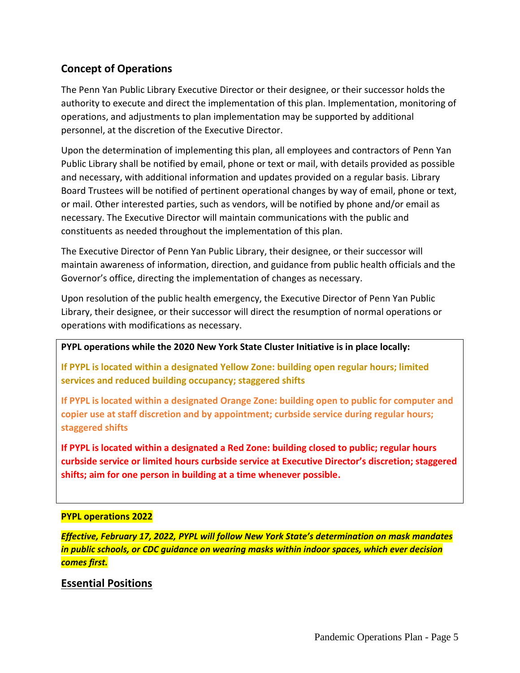# **Concept of Operations**

The Penn Yan Public Library Executive Director or their designee, or their successor holds the authority to execute and direct the implementation of this plan. Implementation, monitoring of operations, and adjustments to plan implementation may be supported by additional personnel, at the discretion of the Executive Director.

Upon the determination of implementing this plan, all employees and contractors of Penn Yan Public Library shall be notified by email, phone or text or mail, with details provided as possible and necessary, with additional information and updates provided on a regular basis. Library Board Trustees will be notified of pertinent operational changes by way of email, phone or text, or mail. Other interested parties, such as vendors, will be notified by phone and/or email as necessary. The Executive Director will maintain communications with the public and constituents as needed throughout the implementation of this plan.

The Executive Director of Penn Yan Public Library, their designee, or their successor will maintain awareness of information, direction, and guidance from public health officials and the Governor's office, directing the implementation of changes as necessary.

Upon resolution of the public health emergency, the Executive Director of Penn Yan Public Library, their designee, or their successor will direct the resumption of normal operations or operations with modifications as necessary.

**PYPL operations while the 2020 New York State Cluster Initiative is in place locally:**

**If PYPL is located within a designated Yellow Zone: building open regular hours; limited services and reduced building occupancy; staggered shifts** 

**If PYPL is located within a designated Orange Zone: building open to public for computer and copier use at staff discretion and by appointment; curbside service during regular hours; staggered shifts**

**If PYPL is located within a designated a Red Zone: building closed to public; regular hours curbside service or limited hours curbside service at Executive Director's discretion; staggered shifts; aim for one person in building at a time whenever possible.**

### **PYPL operations 2022**

*Effective, February 17, 2022, PYPL will follow New York State's determination on mask mandates in public schools, or CDC guidance on wearing masks within indoor spaces, which ever decision comes first.*

# **Essential Positions**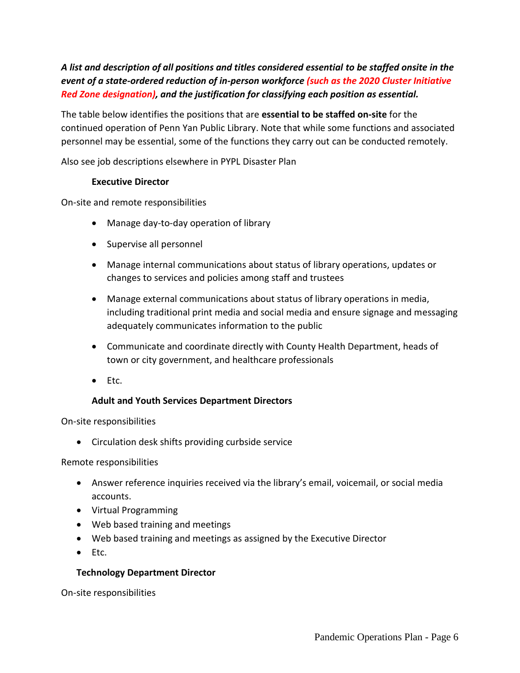*A list and description of all positions and titles considered essential to be staffed onsite in the event of a state-ordered reduction of in-person workforce (such as the 2020 Cluster Initiative Red Zone designation), and the justification for classifying each position as essential.*

The table below identifies the positions that are **essential to be staffed on-site** for the continued operation of Penn Yan Public Library. Note that while some functions and associated personnel may be essential, some of the functions they carry out can be conducted remotely.

Also see job descriptions elsewhere in PYPL Disaster Plan

#### **Executive Director**

On-site and remote responsibilities

- Manage day-to-day operation of library
- Supervise all personnel
- Manage internal communications about status of library operations, updates or changes to services and policies among staff and trustees
- Manage external communications about status of library operations in media, including traditional print media and social media and ensure signage and messaging adequately communicates information to the public
- Communicate and coordinate directly with County Health Department, heads of town or city government, and healthcare professionals
- Etc.

#### **Adult and Youth Services Department Directors**

On-site responsibilities

• Circulation desk shifts providing curbside service

#### Remote responsibilities

- Answer reference inquiries received via the library's email, voicemail, or social media accounts.
- Virtual Programming
- Web based training and meetings
- Web based training and meetings as assigned by the Executive Director
- Etc.

#### **Technology Department Director**

On-site responsibilities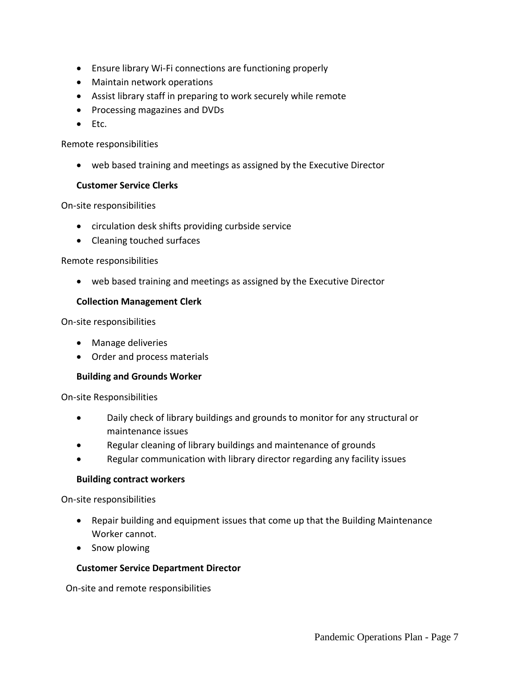- Ensure library Wi-Fi connections are functioning properly
- Maintain network operations
- Assist library staff in preparing to work securely while remote
- Processing magazines and DVDs
- Etc.

#### Remote responsibilities

• web based training and meetings as assigned by the Executive Director

#### **Customer Service Clerks**

On-site responsibilities

- circulation desk shifts providing curbside service
- Cleaning touched surfaces

#### Remote responsibilities

• web based training and meetings as assigned by the Executive Director

#### **Collection Management Clerk**

On-site responsibilities

- Manage deliveries
- Order and process materials

#### **Building and Grounds Worker**

On-site Responsibilities

- Daily check of library buildings and grounds to monitor for any structural or maintenance issues
- Regular cleaning of library buildings and maintenance of grounds
- Regular communication with library director regarding any facility issues

#### **Building contract workers**

On-site responsibilities

- Repair building and equipment issues that come up that the Building Maintenance Worker cannot.
- Snow plowing

### **Customer Service Department Director**

On-site and remote responsibilities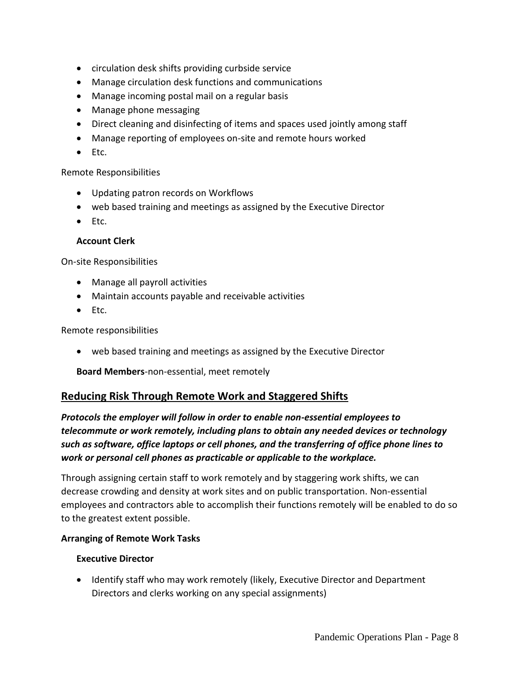- circulation desk shifts providing curbside service
- Manage circulation desk functions and communications
- Manage incoming postal mail on a regular basis
- Manage phone messaging
- Direct cleaning and disinfecting of items and spaces used jointly among staff
- Manage reporting of employees on-site and remote hours worked
- Etc.

#### Remote Responsibilities

- Updating patron records on Workflows
- web based training and meetings as assigned by the Executive Director
- Etc.

#### **Account Clerk**

On-site Responsibilities

- Manage all payroll activities
- Maintain accounts payable and receivable activities
- Etc.

Remote responsibilities

• web based training and meetings as assigned by the Executive Director

**Board Members**-non-essential, meet remotely

# **Reducing Risk Through Remote Work and Staggered Shifts**

*Protocols the employer will follow in order to enable non-essential employees to telecommute or work remotely, including plans to obtain any needed devices or technology such as software, office laptops or cell phones, and the transferring of office phone lines to work or personal cell phones as practicable or applicable to the workplace.*

Through assigning certain staff to work remotely and by staggering work shifts, we can decrease crowding and density at work sites and on public transportation. Non-essential employees and contractors able to accomplish their functions remotely will be enabled to do so to the greatest extent possible.

#### **Arranging of Remote Work Tasks**

### **Executive Director**

• Identify staff who may work remotely (likely, Executive Director and Department Directors and clerks working on any special assignments)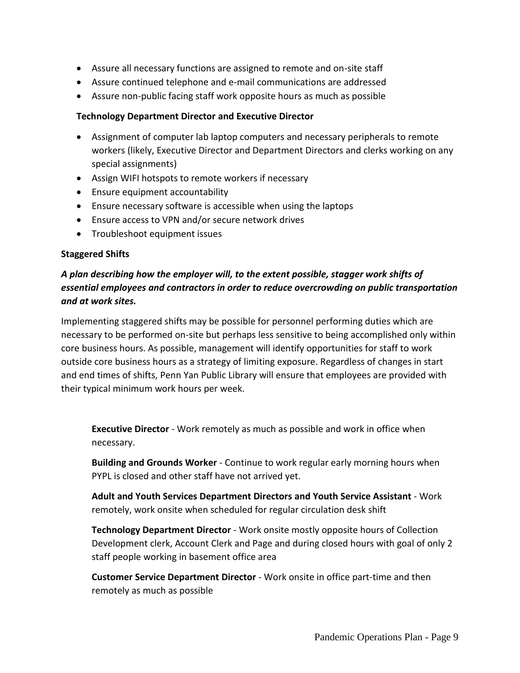- Assure all necessary functions are assigned to remote and on-site staff
- Assure continued telephone and e-mail communications are addressed
- Assure non-public facing staff work opposite hours as much as possible

#### **Technology Department Director and Executive Director**

- Assignment of computer lab laptop computers and necessary peripherals to remote workers (likely, Executive Director and Department Directors and clerks working on any special assignments)
- Assign WIFI hotspots to remote workers if necessary
- Ensure equipment accountability
- Ensure necessary software is accessible when using the laptops
- Ensure access to VPN and/or secure network drives
- Troubleshoot equipment issues

#### **Staggered Shifts**

# *A plan describing how the employer will, to the extent possible, stagger work shifts of essential employees and contractors in order to reduce overcrowding on public transportation and at work sites.*

Implementing staggered shifts may be possible for personnel performing duties which are necessary to be performed on-site but perhaps less sensitive to being accomplished only within core business hours. As possible, management will identify opportunities for staff to work outside core business hours as a strategy of limiting exposure. Regardless of changes in start and end times of shifts, Penn Yan Public Library will ensure that employees are provided with their typical minimum work hours per week.

**Executive Director** - Work remotely as much as possible and work in office when necessary.

**Building and Grounds Worker** - Continue to work regular early morning hours when PYPL is closed and other staff have not arrived yet.

**Adult and Youth Services Department Directors and Youth Service Assistant** - Work remotely, work onsite when scheduled for regular circulation desk shift

**Technology Department Director** - Work onsite mostly opposite hours of Collection Development clerk, Account Clerk and Page and during closed hours with goal of only 2 staff people working in basement office area

**Customer Service Department Director** - Work onsite in office part-time and then remotely as much as possible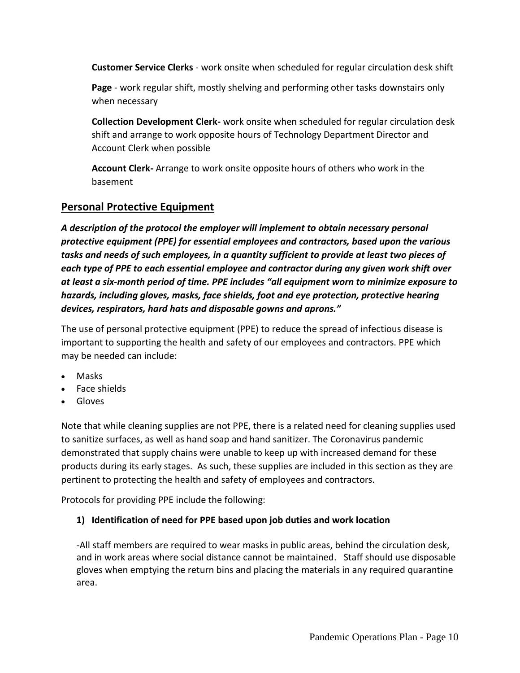**Customer Service Clerks** - work onsite when scheduled for regular circulation desk shift

**Page** - work regular shift, mostly shelving and performing other tasks downstairs only when necessary

**Collection Development Clerk-** work onsite when scheduled for regular circulation desk shift and arrange to work opposite hours of Technology Department Director and Account Clerk when possible

**Account Clerk-** Arrange to work onsite opposite hours of others who work in the basement

# **Personal Protective Equipment**

*A description of the protocol the employer will implement to obtain necessary personal protective equipment (PPE) for essential employees and contractors, based upon the various tasks and needs of such employees, in a quantity sufficient to provide at least two pieces of each type of PPE to each essential employee and contractor during any given work shift over at least a six-month period of time. PPE includes "all equipment worn to minimize exposure to hazards, including gloves, masks, face shields, foot and eye protection, protective hearing devices, respirators, hard hats and disposable gowns and aprons."*

The use of personal protective equipment (PPE) to reduce the spread of infectious disease is important to supporting the health and safety of our employees and contractors. PPE which may be needed can include:

- Masks
- Face shields
- Gloves

Note that while cleaning supplies are not PPE, there is a related need for cleaning supplies used to sanitize surfaces, as well as hand soap and hand sanitizer. The Coronavirus pandemic demonstrated that supply chains were unable to keep up with increased demand for these products during its early stages. As such, these supplies are included in this section as they are pertinent to protecting the health and safety of employees and contractors.

Protocols for providing PPE include the following:

# **1) Identification of need for PPE based upon job duties and work location**

-All staff members are required to wear masks in public areas, behind the circulation desk, and in work areas where social distance cannot be maintained. Staff should use disposable gloves when emptying the return bins and placing the materials in any required quarantine area.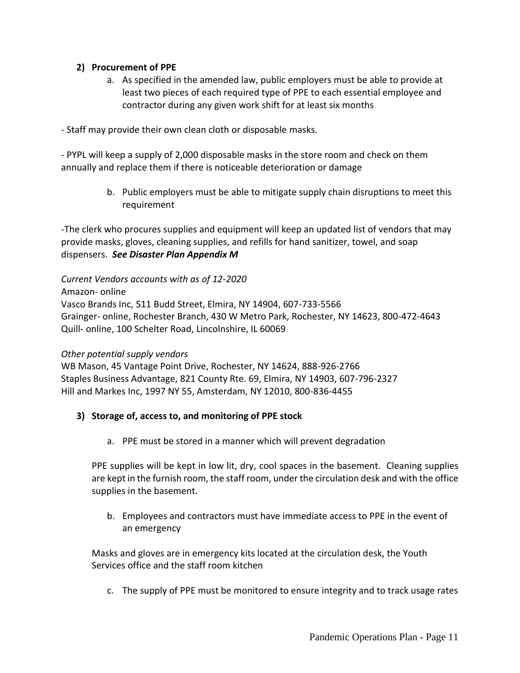#### **2) Procurement of PPE**

a. As specified in the amended law, public employers must be able to provide at least two pieces of each required type of PPE to each essential employee and contractor during any given work shift for at least six months

- Staff may provide their own clean cloth or disposable masks.

- PYPL will keep a supply of 2,000 disposable masks in the store room and check on them annually and replace them if there is noticeable deterioration or damage

> b. Public employers must be able to mitigate supply chain disruptions to meet this requirement

-The clerk who procures supplies and equipment will keep an updated list of vendors that may provide masks, gloves, cleaning supplies, and refills for hand sanitizer, towel, and soap dispensers. *See Disaster Plan Appendix M*

*Current Vendors accounts with as of 12-2020*

Amazon- online

Vasco Brands Inc, 511 Budd Street, Elmira, NY 14904, 607-733-5566 Grainger- online, Rochester Branch, 430 W Metro Park, Rochester, NY 14623, 800-472-4643 Quill- online, 100 Schelter Road, Lincolnshire, IL 60069

#### *Other potential supply vendors*

WB Mason, 45 Vantage Point Drive, Rochester, NY 14624, 888-926-2766 Staples Business Advantage, 821 County Rte. 69, Elmira, NY 14903, 607-796-2327 Hill and Markes Inc, 1997 NY 55, Amsterdam, NY 12010, 800-836-4455

### **3) Storage of, access to, and monitoring of PPE stock**

a. PPE must be stored in a manner which will prevent degradation

PPE supplies will be kept in low lit, dry, cool spaces in the basement. Cleaning supplies are kept in the furnish room, the staff room, under the circulation desk and with the office supplies in the basement.

b. Employees and contractors must have immediate access to PPE in the event of an emergency

Masks and gloves are in emergency kits located at the circulation desk, the Youth Services office and the staff room kitchen

c. The supply of PPE must be monitored to ensure integrity and to track usage rates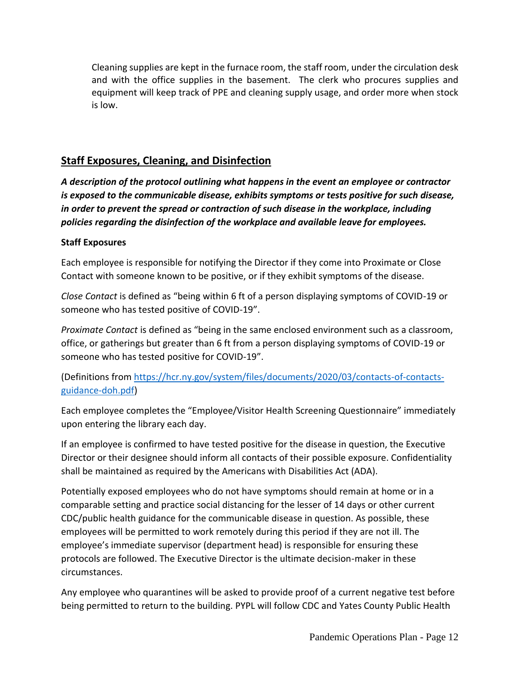Cleaning supplies are kept in the furnace room, the staff room, under the circulation desk and with the office supplies in the basement. The clerk who procures supplies and equipment will keep track of PPE and cleaning supply usage, and order more when stock is low.

# **Staff Exposures, Cleaning, and Disinfection**

*A description of the protocol outlining what happens in the event an employee or contractor is exposed to the communicable disease, exhibits symptoms or tests positive for such disease, in order to prevent the spread or contraction of such disease in the workplace, including policies regarding the disinfection of the workplace and available leave for employees.*

#### **Staff Exposures**

Each employee is responsible for notifying the Director if they come into Proximate or Close Contact with someone known to be positive, or if they exhibit symptoms of the disease.

*Close Contact* is defined as "being within 6 ft of a person displaying symptoms of COVID-19 or someone who has tested positive of COVID-19".

*Proximate Contact* is defined as "being in the same enclosed environment such as a classroom, office, or gatherings but greater than 6 ft from a person displaying symptoms of COVID-19 or someone who has tested positive for COVID-19".

(Definitions from [https://hcr.ny.gov/system/files/documents/2020/03/contacts-of-contacts](https://hcr.ny.gov/system/files/documents/2020/03/contacts-of-contacts-guidance-doh.pdf)[guidance-doh.pdf\)](https://hcr.ny.gov/system/files/documents/2020/03/contacts-of-contacts-guidance-doh.pdf)

Each employee completes the "Employee/Visitor Health Screening Questionnaire" immediately upon entering the library each day.

If an employee is confirmed to have tested positive for the disease in question, the Executive Director or their designee should inform all contacts of their possible exposure. Confidentiality shall be maintained as required by the Americans with Disabilities Act (ADA).

Potentially exposed employees who do not have symptoms should remain at home or in a comparable setting and practice social distancing for the lesser of 14 days or other current CDC/public health guidance for the communicable disease in question. As possible, these employees will be permitted to work remotely during this period if they are not ill. The employee's immediate supervisor (department head) is responsible for ensuring these protocols are followed. The Executive Director is the ultimate decision-maker in these circumstances.

Any employee who quarantines will be asked to provide proof of a current negative test before being permitted to return to the building. PYPL will follow CDC and Yates County Public Health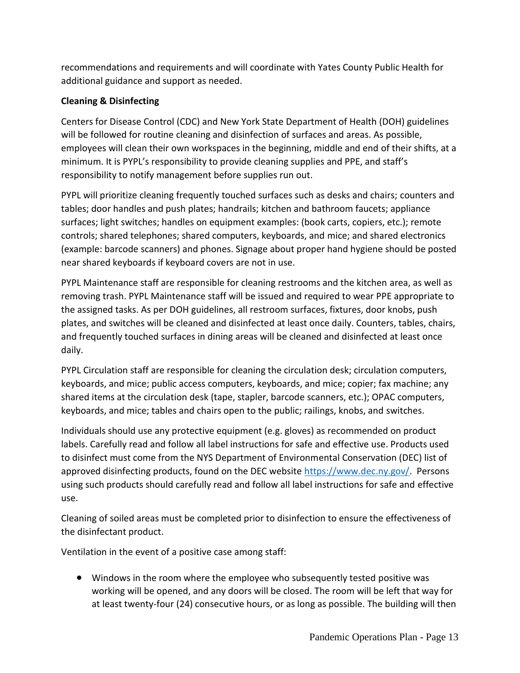recommendations and requirements and will coordinate with Yates County Public Health for additional guidance and support as needed.

## **Cleaning & Disinfecting**

Centers for Disease Control (CDC) and New York State Department of Health (DOH) guidelines will be followed for routine cleaning and disinfection of surfaces and areas. As possible, employees will clean their own workspaces in the beginning, middle and end of their shifts, at a minimum. It is PYPL's responsibility to provide cleaning supplies and PPE, and staff's responsibility to notify management before supplies run out.

PYPL will prioritize cleaning frequently touched surfaces such as desks and chairs; counters and tables; door handles and push plates; handrails; kitchen and bathroom faucets; appliance surfaces; light switches; handles on equipment examples: (book carts, copiers, etc.); remote controls; shared telephones; shared computers, keyboards, and mice; and shared electronics (example: barcode scanners) and phones. Signage about proper hand hygiene should be posted near shared keyboards if keyboard covers are not in use.

PYPL Maintenance staff are responsible for cleaning restrooms and the kitchen area, as well as removing trash. PYPL Maintenance staff will be issued and required to wear PPE appropriate to the assigned tasks. As per DOH guidelines, all restroom surfaces, fixtures, door knobs, push plates, and switches will be cleaned and disinfected at least once daily. Counters, tables, chairs, and frequently touched surfaces in dining areas will be cleaned and disinfected at least once daily.

PYPL Circulation staff are responsible for cleaning the circulation desk; circulation computers, keyboards, and mice; public access computers, keyboards, and mice; copier; fax machine; any shared items at the circulation desk (tape, stapler, barcode scanners, etc.); OPAC computers, keyboards, and mice; tables and chairs open to the public; railings, knobs, and switches.

Individuals should use any protective equipment (e.g. gloves) as recommended on product labels. Carefully read and follow all label instructions for safe and effective use. Products used to disinfect must come from the NYS Department of Environmental Conservation (DEC) list of approved disinfecting products, found on the DEC website [https://www.dec.ny.gov/.](https://www.dec.ny.gov/) Persons using such products should carefully read and follow all label instructions for safe and effective use.

Cleaning of soiled areas must be completed prior to disinfection to ensure the effectiveness of the disinfectant product.

Ventilation in the event of a positive case among staff:

• Windows in the room where the employee who subsequently tested positive was working will be opened, and any doors will be closed. The room will be left that way for at least twenty-four (24) consecutive hours, or as long as possible. The building will then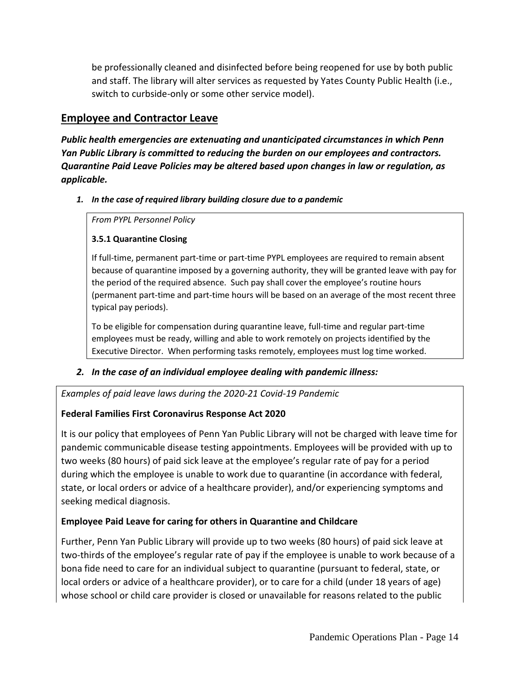be professionally cleaned and disinfected before being reopened for use by both public and staff. The library will alter services as requested by Yates County Public Health (i.e., switch to curbside-only or some other service model).

# **Employee and Contractor Leave**

*Public health emergencies are extenuating and unanticipated circumstances in which Penn Yan Public Library is committed to reducing the burden on our employees and contractors. Quarantine Paid Leave Policies may be altered based upon changes in law or regulation, as applicable.*

#### *1. In the case of required library building closure due to a pandemic*

*From PYPL Personnel Policy*

### **3.5.1 Quarantine Closing**

If full-time, permanent part-time or part-time PYPL employees are required to remain absent because of quarantine imposed by a governing authority, they will be granted leave with pay for the period of the required absence. Such pay shall cover the employee's routine hours (permanent part-time and part-time hours will be based on an average of the most recent three typical pay periods).

To be eligible for compensation during quarantine leave, full-time and regular part-time employees must be ready, willing and able to work remotely on projects identified by the Executive Director. When performing tasks remotely, employees must log time worked.

# *2. In the case of an individual employee dealing with pandemic illness:*

*Examples of paid leave laws during the 2020-21 Covid-19 Pandemic*

# **Federal Families First Coronavirus Response Act 2020**

It is our policy that employees of Penn Yan Public Library will not be charged with leave time for pandemic communicable disease testing appointments. Employees will be provided with up to two weeks (80 hours) of paid sick leave at the employee's regular rate of pay for a period during which the employee is unable to work due to quarantine (in accordance with federal, state, or local orders or advice of a healthcare provider), and/or experiencing symptoms and seeking medical diagnosis.

# **Employee Paid Leave for caring for others in Quarantine and Childcare**

Further, Penn Yan Public Library will provide up to two weeks (80 hours) of paid sick leave at two-thirds of the employee's regular rate of pay if the employee is unable to work because of a bona fide need to care for an individual subject to quarantine (pursuant to federal, state, or local orders or advice of a healthcare provider), or to care for a child (under 18 years of age) whose school or child care provider is closed or unavailable for reasons related to the public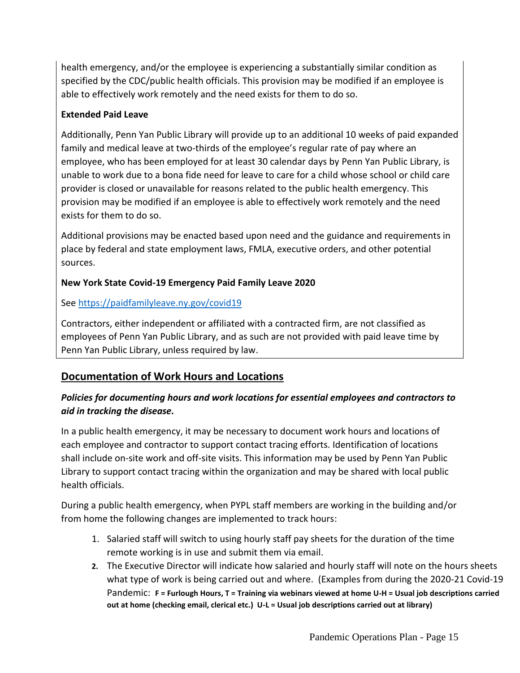health emergency, and/or the employee is experiencing a substantially similar condition as specified by the CDC/public health officials. This provision may be modified if an employee is able to effectively work remotely and the need exists for them to do so.

### **Extended Paid Leave**

Additionally, Penn Yan Public Library will provide up to an additional 10 weeks of paid expanded family and medical leave at two-thirds of the employee's regular rate of pay where an employee, who has been employed for at least 30 calendar days by Penn Yan Public Library, is unable to work due to a bona fide need for leave to care for a child whose school or child care provider is closed or unavailable for reasons related to the public health emergency. This provision may be modified if an employee is able to effectively work remotely and the need exists for them to do so.

Additional provisions may be enacted based upon need and the guidance and requirements in place by federal and state employment laws, FMLA, executive orders, and other potential sources.

### **New York State Covid-19 Emergency Paid Family Leave 2020**

### See<https://paidfamilyleave.ny.gov/covid19>

Contractors, either independent or affiliated with a contracted firm, are not classified as employees of Penn Yan Public Library, and as such are not provided with paid leave time by Penn Yan Public Library, unless required by law.

# **Documentation of Work Hours and Locations**

# *Policies for documenting hours and work locations for essential employees and contractors to aid in tracking the disease.*

In a public health emergency, it may be necessary to document work hours and locations of each employee and contractor to support contact tracing efforts. Identification of locations shall include on-site work and off-site visits. This information may be used by Penn Yan Public Library to support contact tracing within the organization and may be shared with local public health officials.

During a public health emergency, when PYPL staff members are working in the building and/or from home the following changes are implemented to track hours:

- 1. Salaried staff will switch to using hourly staff pay sheets for the duration of the time remote working is in use and submit them via email.
- **2.** The Executive Director will indicate how salaried and hourly staff will note on the hours sheets what type of work is being carried out and where. (Examples from during the 2020-21 Covid-19 Pandemic: **F = Furlough Hours, T = Training via webinars viewed at home U-H = Usual job descriptions carried out at home (checking email, clerical etc.) U-L = Usual job descriptions carried out at library)**